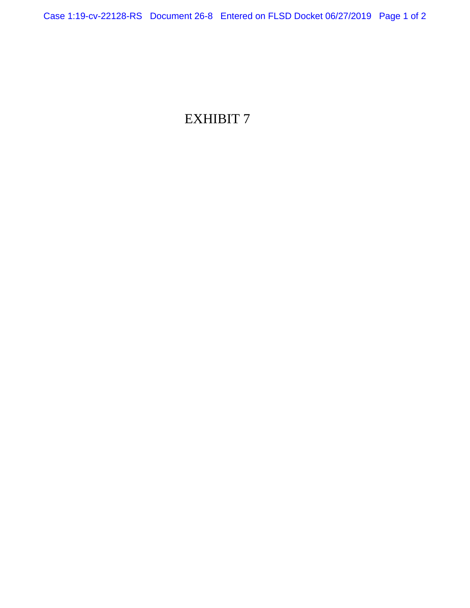# EXHIBIT 7